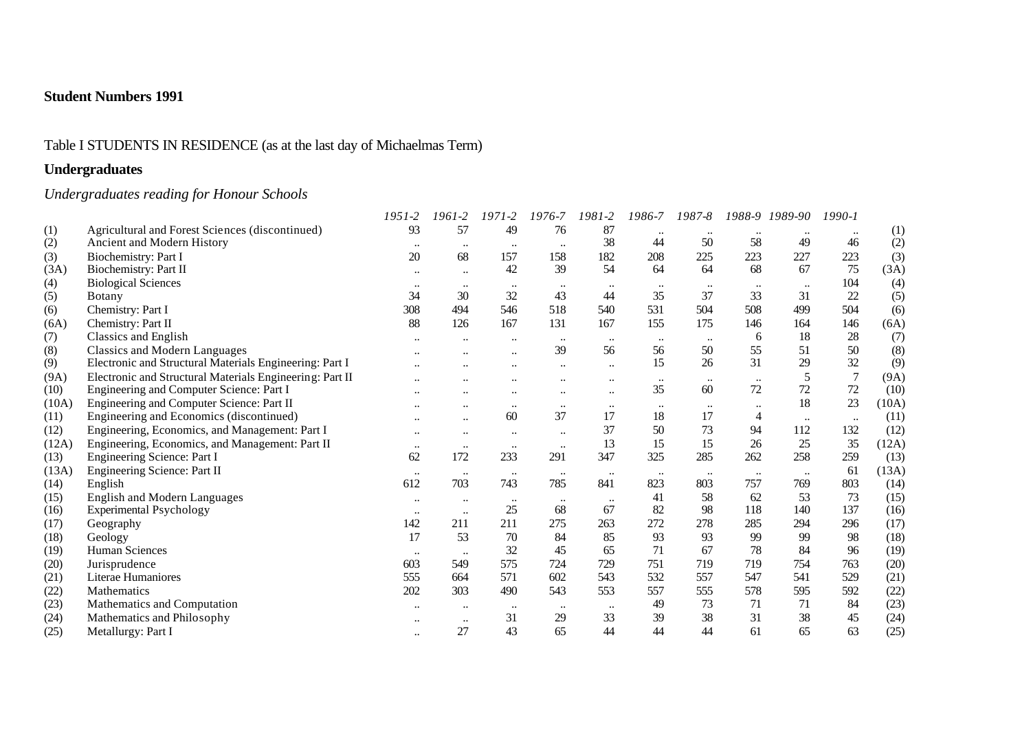# Table I STUDENTS IN RESIDENCE (as at the last day of Michaelmas Term)

# **Undergraduates**

# *Undergraduates reading for Honour Schools*

|       |                                                          | $1951 - 2$       | 1961-2               | $1971 - 2$       | 1976-7       | 1981-2               | 1986-7    | 1987-8       | 1988-9    | 1989-90          | $1990 - 1$ |       |
|-------|----------------------------------------------------------|------------------|----------------------|------------------|--------------|----------------------|-----------|--------------|-----------|------------------|------------|-------|
| (1)   | Agricultural and Forest Sciences (discontinued)          | 93               | 57                   | 49               | 76           | 87                   |           |              |           |                  |            | (1)   |
| (2)   | Ancient and Modern History                               | $\ddotsc$        | $\cdot\cdot$         | $\cdot\cdot$     | $\ddotsc$    | 38                   | 44        | 50           | 58        | 49               | 46         | (2)   |
| (3)   | Biochemistry: Part I                                     | 20               | 68                   | 157              | 158          | 182                  | 208       | 225          | 223       | 227              | 223        | (3)   |
| (3A)  | Biochemistry: Part II                                    | $\bullet\bullet$ | $\ldots$             | 42               | 39           | 54                   | 64        | 64           | 68        | 67               | 75         | (3A)  |
| (4)   | <b>Biological Sciences</b>                               | $\ddotsc$        | $\cdot\cdot$         | $\cdot\cdot$     |              |                      |           |              |           | $\bullet\bullet$ | 104        | (4)   |
| (5)   | <b>B</b> otany                                           | 34               | 30                   | 32               | 43           | 44                   | 35        | 37           | 33        | 31               | 22         | (5)   |
| (6)   | Chemistry: Part I                                        | 308              | 494                  | 546              | 518          | 540                  | 531       | 504          | 508       | 499              | 504        | (6)   |
| (6A)  | Chemistry: Part II                                       | 88               | 126                  | 167              | 131          | 167                  | 155       | 175          | 146       | 164              | 146        | (6A)  |
| (7)   | Classics and English                                     |                  |                      | $\ddotsc$        | $\ddotsc$    | $\ddotsc$            | $\cdots$  | $\ddotsc$    | 6         | 18               | 28         | (7)   |
| (8)   | <b>Classics and Modern Languages</b>                     |                  |                      | $\ddotsc$        | 39           | 56                   | 56        | 50           | 55        | 51               | 50         | (8)   |
| (9)   | Electronic and Structural Materials Engineering: Part I  |                  |                      |                  |              | $\ddot{\phantom{a}}$ | 15        | 26           | 31        | 29               | 32         | (9)   |
| (9A)  | Electronic and Structural Materials Engineering: Part II |                  |                      |                  |              | $\ddotsc$            | $\ddotsc$ | $\ddotsc$    | $\ddotsc$ | 5                | $\tau$     | (9A)  |
| (10)  | Engineering and Computer Science: Part I                 | $\ddotsc$        |                      | $\bullet\bullet$ | $\ddotsc$    | $\ddotsc$            | 35        | 60           | 72        | 72               | 72         | (10)  |
| (10A) | Engineering and Computer Science: Part II                |                  | $\ddot{\phantom{a}}$ | $\ddotsc$        | $\ldots$     | $\ldots$             |           |              |           | 18               | 23         | (10A) |
| (11)  | Engineering and Economics (discontinued)                 | $\ddotsc$        | $\ddotsc$            | 60               | 37           | 17                   | 18        | 17           | 4         | $\ddotsc$        | $\ddotsc$  | (11)  |
| (12)  | Engineering, Economics, and Management: Part I           | $\ddotsc$        | $\ddotsc$            | $\ddotsc$        | $\ddotsc$    | 37                   | 50        | 73           | 94        | 112              | 132        | (12)  |
| (12A) | Engineering, Economics, and Management: Part II          | $\bullet\bullet$ | $\ldots$             | $\bullet\bullet$ | $\ddotsc$    | 13                   | 15        | 15           | 26        | 25               | 35         | (12A) |
| (13)  | Engineering Science: Part I                              | 62               | 172                  | 233              | 291          | 347                  | 325       | 285          | 262       | 258              | 259        | (13)  |
| (13A) | Engineering Science: Part II                             | $\bullet\bullet$ | $\bullet\bullet$     | $\cdot\cdot$     | $\cdot\cdot$ | $\ddotsc$            | $\ldots$  | $\cdot\cdot$ | $\ddotsc$ | $\ddotsc$        | 61         | (13A) |
| (14)  | English                                                  | 612              | 703                  | 743              | 785          | 841                  | 823       | 803          | 757       | 769              | 803        | (14)  |
| (15)  | <b>English and Modern Languages</b>                      | $\bullet\bullet$ | $\cdots$             | $\ldots$         | $\ddotsc$    | $\ddotsc$            | 41        | 58           | 62        | 53               | 73         | (15)  |
| (16)  | <b>Experimental Psychology</b>                           | $\ddotsc$        | $\ddotsc$            | 25               | 68           | 67                   | 82        | 98           | 118       | 140              | 137        | (16)  |
| (17)  | Geography                                                | 142              | 211                  | 211              | 275          | 263                  | 272       | 278          | 285       | 294              | 296        | (17)  |
| (18)  | Geology                                                  | 17               | 53                   | 70               | 84           | 85                   | 93        | 93           | 99        | 99               | 98         | (18)  |
| (19)  | Human Sciences                                           | $\cdots$         | $\cdot\cdot$         | 32               | 45           | 65                   | 71        | 67           | 78        | 84               | 96         | (19)  |
| (20)  | Jurisprudence                                            | 603              | 549                  | 575              | 724          | 729                  | 751       | 719          | 719       | 754              | 763        | (20)  |
| (21)  | Literae Humaniores                                       | 555              | 664                  | 571              | 602          | 543                  | 532       | 557          | 547       | 541              | 529        | (21)  |
| (22)  | Mathematics                                              | 202              | 303                  | 490              | 543          | 553                  | 557       | 555          | 578       | 595              | 592        | (22)  |
| (23)  | Mathematics and Computation                              | $\ddotsc$        | $\ddotsc$            | $\cdot\cdot$     |              | $\ddotsc$            | 49        | 73           | 71        | 71               | 84         | (23)  |
| (24)  | Mathematics and Philosophy                               |                  | $\ddotsc$            | 31               | 29           | 33                   | 39        | 38           | 31        | 38               | 45         | (24)  |
| (25)  | Metallurgy: Part I                                       | $\ddotsc$        | 27                   | 43               | 65           | 44                   | 44        | 44           | 61        | 65               | 63         | (25)  |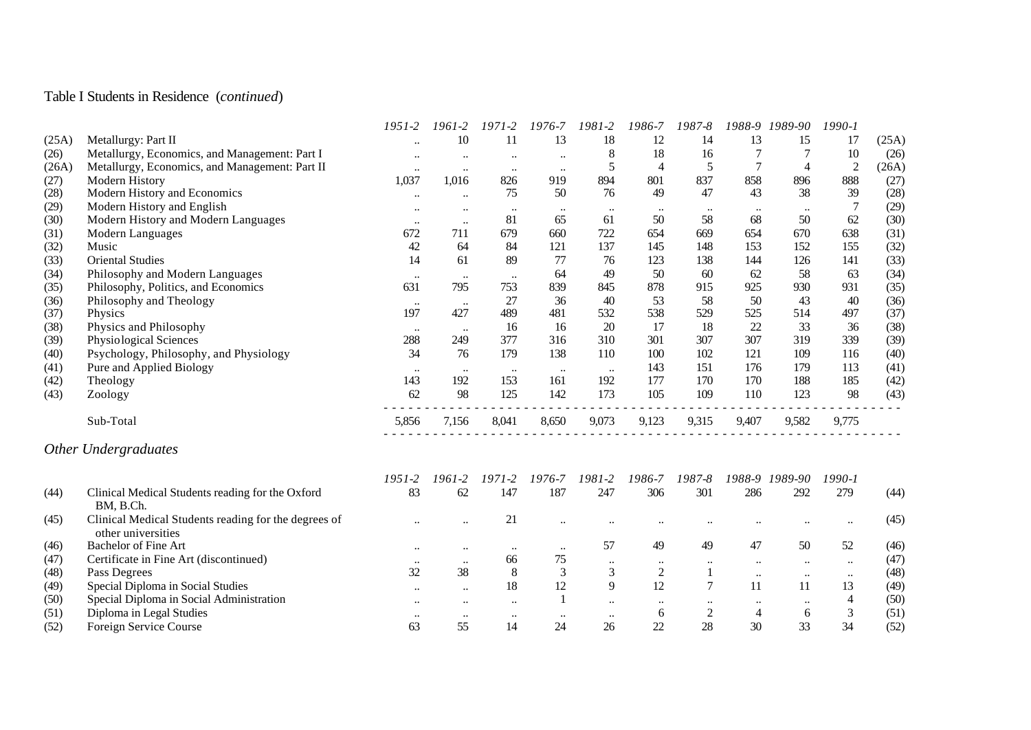# Table I Students in Residence (*continued*)

|       |                                                                            | $1951 - 2$           | $1961 - 2$                | $1971 - 2$                | 1976-7    | 1981-2         | 1986-7         | 1987-8         | 1988-9    | 1989-90          | 1990-1         |       |
|-------|----------------------------------------------------------------------------|----------------------|---------------------------|---------------------------|-----------|----------------|----------------|----------------|-----------|------------------|----------------|-------|
| (25A) | Metallurgy: Part II                                                        |                      | 10                        | 11                        | 13        | 18             | 12             | 14             | 13        | 15               | 17             | (25A) |
| (26)  | Metallurgy, Economics, and Management: Part I                              |                      | $\ddotsc$                 | $\ddotsc$                 | $\ddotsc$ | $\,8\,$        | 18             | 16             |           | 7                | 10             | (26)  |
| (26A) | Metallurgy, Economics, and Management: Part II                             | $\ddotsc$            | $\ddot{\phantom{0}}\cdot$ | $\ddotsc$                 | $\ddotsc$ | 5              | $\overline{4}$ | 5              | $\tau$    | $\overline{4}$   | $\overline{2}$ | (26A) |
| (27)  | Modern History                                                             | 1,037                | 1,016                     | 826                       | 919       | 894            | 801            | 837            | 858       | 896              | 888            | (27)  |
| (28)  | Modern History and Economics                                               | $\ldots$             | $\ldots$                  | 75                        | 50        | 76             | 49             | 47             | 43        | 38               | 39             | (28)  |
| (29)  | Modern History and English                                                 | $\ddotsc$            | $\ddotsc$                 | $\ldots$                  | $\ldots$  | $\ldots$       | $\ddotsc$      | $\ddotsc$      | $\ddotsc$ | $\ldots$         | $\overline{7}$ | (29)  |
| (30)  | Modern History and Modern Languages                                        | $\cdots$             | $\ldots$                  | 81                        | 65        | 61             | 50             | 58             | 68        | 50               | 62             | (30)  |
| (31)  | Modern Languages                                                           | 672                  | 711                       | 679                       | 660       | 722            | 654            | 669            | 654       | 670              | 638            | (31)  |
| (32)  | Music                                                                      | 42                   | 64                        | 84                        | 121       | 137            | 145            | 148            | 153       | 152              | 155            | (32)  |
| (33)  | <b>Oriental Studies</b>                                                    | 14                   | 61                        | 89                        | 77        | 76             | 123            | 138            | 144       | 126              | 141            | (33)  |
| (34)  | Philosophy and Modern Languages                                            | $\ldots$             | $\ddotsc$                 | $\ddotsc$                 | 64        | 49             | 50             | 60             | 62        | 58               | 63             | (34)  |
| (35)  | Philosophy, Politics, and Economics                                        | 631                  | 795                       | 753                       | 839       | 845            | 878            | 915            | 925       | 930              | 931            | (35)  |
| (36)  | Philosophy and Theology                                                    | $\ldots$             | $\ddotsc$                 | 27                        | 36        | 40             | 53             | 58             | 50        | 43               | 40             | (36)  |
| (37)  | Physics                                                                    | 197                  | 427                       | 489                       | 481       | 532            | 538            | 529            | 525       | 514              | 497            | (37)  |
| (38)  | Physics and Philosophy                                                     | $\ldots$             | $\ddotsc$                 | 16                        | 16        | 20             | 17             | 18             | 22        | 33               | 36             | (38)  |
| (39)  | Physiological Sciences                                                     | 288                  | 249                       | 377                       | 316       | 310            | 301            | 307            | 307       | 319              | 339            | (39)  |
| (40)  | Psychology, Philosophy, and Physiology                                     | 34                   | 76                        | 179                       | 138       | 110            | 100            | 102            | 121       | 109              | 116            | (40)  |
| (41)  | Pure and Applied Biology                                                   | $\ldots$             | $\ddotsc$                 | $\ddots$                  | $\ddotsc$ | $\ddots$       | 143            | 151            | 176       | 179              | 113            | (41)  |
| (42)  | Theology                                                                   | 143                  | 192                       | 153                       | 161       | 192            | 177            | 170            | 170       | 188              | 185            | (42)  |
| (43)  | Zoology                                                                    | 62                   | 98                        | 125                       | 142       | 173            | 105            | 109            | 110       | 123              | 98             | (43)  |
|       | Sub-Total                                                                  | 5,856                | 7,156                     | 8,041                     | 8,650     | 9,073          | 9,123          | 9,315          | 9,407     | 9,582            | 9,775          |       |
|       | Other Undergraduates                                                       |                      |                           |                           |           |                |                |                |           |                  |                |       |
|       |                                                                            | $1951 - 2$           | 1961-2                    | 1971-2                    | 1976-7    | 1981-2         | 1986-7         | 1987-8         | 1988-9    | 1989-90          | $1990 - 1$     |       |
| (44)  | Clinical Medical Students reading for the Oxford<br>BM, B.Ch.              | 83                   | 62                        | 147                       | 187       | 247            | 306            | 301            | 286       | 292              | 279            | (44)  |
| (45)  | Clinical Medical Students reading for the degrees of<br>other universities | $\ddot{\phantom{0}}$ |                           | 21                        |           |                |                |                |           |                  | $\ddotsc$      | (45)  |
| (46)  | <b>Bachelor of Fine Art</b>                                                | $\ddotsc$            | $\ddotsc$                 | $\ddotsc$                 | $\ddotsc$ | 57             | 49             | 49             | 47        | 50               | 52             | (46)  |
| (47)  | Certificate in Fine Art (discontinued)                                     | $\ldots$             | $\ddots$                  | 66                        | 75        | $\ddotsc$      | $\ddotsc$      | $\ldots$       | $\ddotsc$ | $\ddots$         | $\ddotsc$      | (47)  |
| (48)  | Pass Degrees                                                               | 32                   | 38                        | 8                         | 3         | $\overline{3}$ | $\mathbf{2}$   | $\mathbf{1}$   | $\ddotsc$ | $\ldots$         | $\ldots$       | (48)  |
| (49)  | Special Diploma in Social Studies                                          | $\ddot{\phantom{a}}$ | $\ddotsc$                 | 18                        | 12        | 9              | 12             | $\tau$         | 11        | 11               | 13             | (49)  |
| (50)  | Special Diploma in Social Administration                                   |                      |                           | $\ddot{\phantom{a}}$      |           | $\ddotsc$      | $\ddotsc$      | $\ldots$       | $\ldots$  | $\ddotsc$        | $\overline{4}$ | (50)  |
| (51)  | Diploma in Legal Studies                                                   |                      | $\ddotsc$                 | $\ddot{\phantom{0}}\cdot$ |           | $\ddotsc$      | 6              | $\overline{2}$ | 4         | $\boldsymbol{6}$ | 3              | (51)  |
| (52)  | Foreign Service Course                                                     | 63                   | 55                        | 14                        | 24        | 26             | 22             | 28             | 30        | 33               | 34             | (52)  |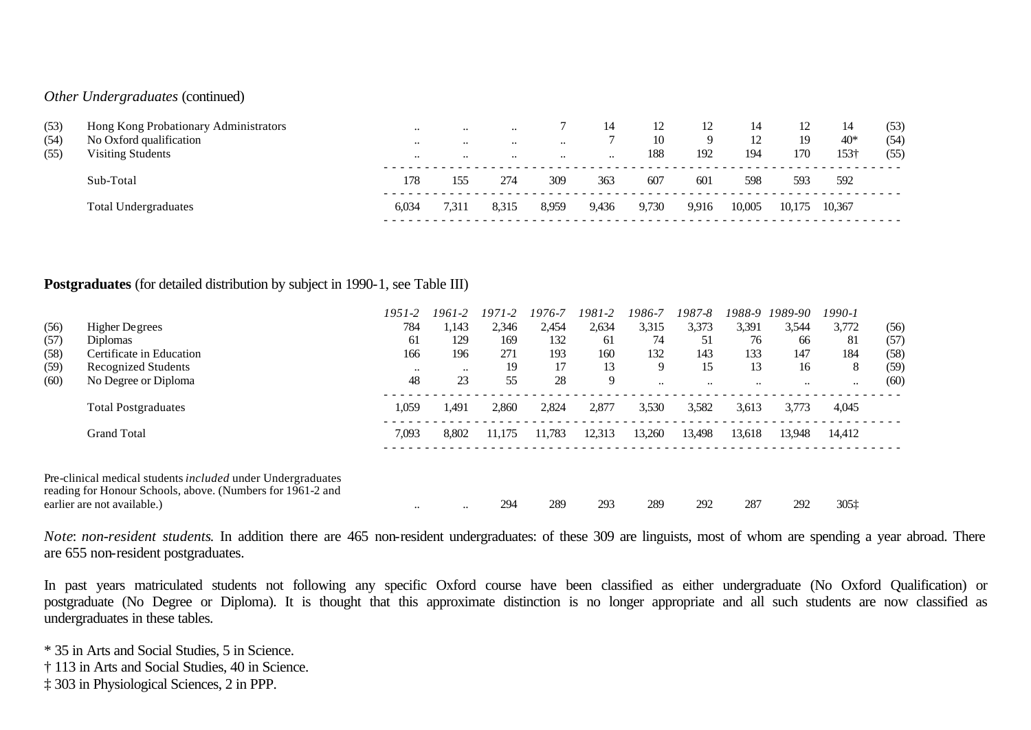### *Other Undergraduates* (continued)

| (53)<br>(54)<br>(55) | Hong Kong Probationary Administrators<br>No Oxford qualification<br><b>Visiting Students</b> | $\cdot \cdot$<br>$\cdots$<br>$\cdots$ | $\cdots$<br>$\ddotsc$<br>$\ddotsc$ | $\cdot \cdot$<br>$\cdots$<br>$\cdot \cdot$ | $\cdots$<br>$\cdot\cdot$ | 14<br>$\cdots$ | 12<br>10<br>188 | 12<br>Q<br>192 | 14<br>$\perp$<br>194 | 19<br>170 | 14<br>$40*$<br>$153+$ | (53)<br>(54)<br>(55) |
|----------------------|----------------------------------------------------------------------------------------------|---------------------------------------|------------------------------------|--------------------------------------------|--------------------------|----------------|-----------------|----------------|----------------------|-----------|-----------------------|----------------------|
|                      | Sub-Total                                                                                    | 178                                   | 155                                | 274                                        | 309                      | 363            | 607             | 601            | 598                  | 593       | 592                   |                      |
|                      | Total Undergraduates                                                                         | 6.034                                 | 7.31                               | 8.315                                      | 8,959                    | 9,436          | 9,730           | 9,916          | 10,005               | 10.175    | 10,367                |                      |

### **Postgraduates** (for detailed distribution by subject in 1990-1, see Table III)

|      |                                                                                                                                                                 | 1951-2    | 1961-2    | 1971-2 | 1976-7 | 1981-2 | 1986-7    | 1987-8    | 1988-9    | 1989-90   | 1990-1    |      |
|------|-----------------------------------------------------------------------------------------------------------------------------------------------------------------|-----------|-----------|--------|--------|--------|-----------|-----------|-----------|-----------|-----------|------|
| (56) | Higher Degrees                                                                                                                                                  | 784       | 1.143     | 2,346  | 2,454  | 2,634  | 3,315     | 3,373     | 3,391     | 3,544     | 3,772     | (56) |
| (57) | <b>Diplomas</b>                                                                                                                                                 | 61        | 129       | 169    | 132    | -61    | 74        | 51        | 76        | 66        | 81        | (57) |
| (58) | Certificate in Education                                                                                                                                        | 166       | 196       | 271    | 193    | 160    | 132       | 143       | 133       | 147       | 184       | (58) |
| (59) | <b>Recognized Students</b>                                                                                                                                      | $\ddotsc$ | $\ddotsc$ | 19     | 17     | 13     | 9         | 15        | 13        | 16        | 8         | (59) |
| (60) | No Degree or Diploma                                                                                                                                            | 48        | 23        | 55     | 28     | 9      | $\ddotsc$ | $\ddotsc$ | $\ddotsc$ | $\ddotsc$ | $\ddotsc$ | (60) |
|      | <b>Total Postgraduates</b>                                                                                                                                      | 1,059     | 1,491     | 2,860  | 2,824  | 2,877  | 3,530     | 3,582     | 3,613     | 3,773     | 4,045     |      |
|      | <b>Grand Total</b>                                                                                                                                              | 7,093     | 8.802     | 11,175 | 11,783 | 12,313 | 13,260    | 13,498    | 13,618    | 13,948    | 14,412    |      |
|      | Pre-clinical medical students <i>included</i> under Undergraduates<br>reading for Honour Schools, above. (Numbers for 1961-2 and<br>earlier are not available.) | $\ddotsc$ | $\ddotsc$ | 294    | 289    | 293    | 289       | 292       | 287       | 292       | 3051      |      |

*Note: non-resident students*. In addition there are 465 non-resident undergraduates: of these 309 are linguists, most of whom are spending a year abroad. There are 655 non-resident postgraduates.

In past years matriculated students not following any specific Oxford course have been classified as either undergraduate (No Oxford Qualification) or postgraduate (No Degree or Diploma). It is thought that this approximate distinction is no longer appropriate and all such students are now classified as undergraduates in these tables.

\* 35 in Arts and Social Studies, 5 in Science.

- † 113 in Arts and Social Studies, 40 in Science.
- ‡ 303 in Physiological Sciences, 2 in PPP.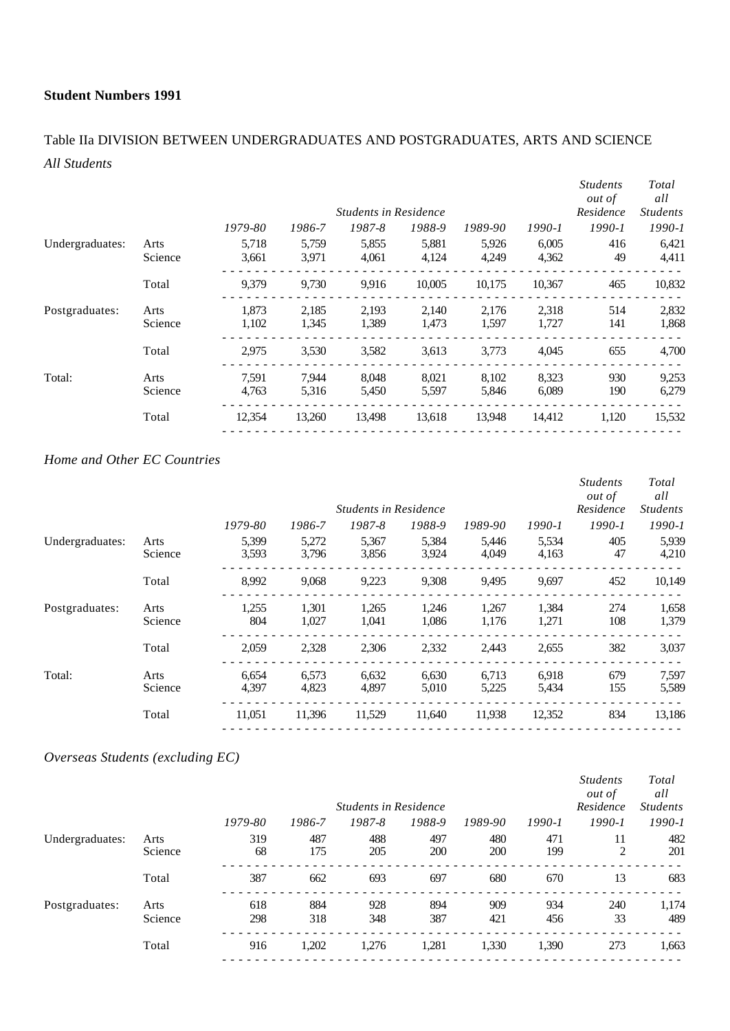# Table IIa DIVISION BETWEEN UNDERGRADUATES AND POSTGRADUATES, ARTS AND SCIENCE *All Students*

|                 |         |         |        |                              |        |         |        | <i>Students</i><br>out of | Total<br>all    |
|-----------------|---------|---------|--------|------------------------------|--------|---------|--------|---------------------------|-----------------|
|                 |         |         |        | <b>Students in Residence</b> |        |         |        | Residence                 | <i>Students</i> |
|                 |         | 1979-80 | 1986-7 | 1987-8                       | 1988-9 | 1989-90 | 1990-1 | $1990 - 1$                | $1990 - 1$      |
| Undergraduates: | Arts    | 5,718   | 5,759  | 5,855                        | 5,881  | 5,926   | 6,005  | 416                       | 6,421           |
|                 | Science | 3,661   | 3.971  | 4,061                        | 4,124  | 4,249   | 4,362  | 49                        | 4,411           |
|                 | Total   | 9,379   | 9.730  | 9.916                        | 10,005 | 10.175  | 10.367 | 465                       | 10,832          |
| Postgraduates:  | Arts    | 1.873   | 2,185  | 2,193                        | 2,140  | 2,176   | 2,318  | 514                       | 2,832           |
|                 | Science | 1,102   | 1,345  | 1,389                        | 1,473  | 1,597   | 1,727  | 141                       | 1,868           |
|                 | Total   | 2,975   | 3,530  | 3,582                        | 3,613  | 3,773   | 4,045  | 655                       | 4,700           |
| Total:          | Arts    | 7,591   | 7,944  | 8,048                        | 8,021  | 8,102   | 8,323  | 930                       | 9,253           |
|                 | Science | 4,763   | 5,316  | 5,450                        | 5,597  | 5,846   | 6,089  | 190                       | 6,279           |
|                 | Total   | 12,354  | 13,260 | 13,498                       | 13,618 | 13,948  | 14,412 | 1,120                     | 15,532          |
|                 |         |         |        |                              |        |         |        |                           |                 |

## *Home and Other EC Countries*

|                 |                 |                |                |                              |                |                |                | <i>Students</i><br><i>out of</i> | Total<br>all    |
|-----------------|-----------------|----------------|----------------|------------------------------|----------------|----------------|----------------|----------------------------------|-----------------|
|                 |                 |                |                | <b>Students in Residence</b> |                |                |                | Residence                        | <b>Students</b> |
|                 |                 | 1979-80        | 1986-7         | 1987-8                       | 1988-9         | 1989-90        | $1990 - 1$     | $1990 - 1$                       | $1990 - 1$      |
| Undergraduates: | Arts<br>Science | 5,399<br>3,593 | 5,272<br>3,796 | 5,367<br>3,856               | 5,384<br>3,924 | 5,446<br>4.049 | 5,534<br>4,163 | 405<br>47                        | 5,939<br>4,210  |
|                 | Total           | 8,992          | 9,068          | 9,223                        | 9,308          | 9.495          | 9,697          | 452                              | 10,149          |
| Postgraduates:  | Arts<br>Science | 1,255<br>804   | 1,301<br>1,027 | 1,265<br>1,041               | 1,246<br>1,086 | 1,267<br>1,176 | 1,384<br>1,271 | 274<br>108                       | 1,658<br>1,379  |
|                 | Total           | 2,059          | 2,328          | 2,306                        | 2,332          | 2,443          | 2,655          | 382                              | 3,037           |
| Total:          | Arts<br>Science | 6,654<br>4,397 | 6,573<br>4,823 | 6,632<br>4,897               | 6,630<br>5,010 | 6,713<br>5,225 | 6,918<br>5,434 | 679<br>155                       | 7,597<br>5,589  |
|                 | Total           | 11,051         | 11,396         | 11,529                       | 11,640         | 11,938         | 12,352         | 834                              | 13,186          |

## *Overseas Students (excluding EC)*

|                 |         |         |        |                              |        |            |            | <b>Students</b><br><i>out of</i> | Total<br>all    |
|-----------------|---------|---------|--------|------------------------------|--------|------------|------------|----------------------------------|-----------------|
|                 |         |         |        | <b>Students in Residence</b> |        |            |            | Residence                        | <b>Students</b> |
|                 |         | 1979-80 | 1986-7 | 1987-8                       | 1988-9 | 1989-90    | $1990 - 1$ | $1990 - 1$                       | 1990-1          |
| Undergraduates: | Arts    | 319     | 487    | 488                          | 497    | 480        | 471        | 11                               | 482             |
|                 | Science | 68      | 175    | 205                          | 200    | <b>200</b> | 199        | 2                                | 201             |
|                 | Total   | 387     | 662    | 693                          | 697    | 680        | 670        | 13                               | 683             |
| Postgraduates:  | Arts    | 618     | 884    | 928                          | 894    | 909        | 934        | 240                              | 1,174           |
|                 | Science | 298     | 318    | 348                          | 387    | 421        | 456        | 33                               | 489             |
|                 | Total   | 916     | 1,202  | 1,276                        | 1,281  | 1,330      | 1,390      | 273                              | 1,663           |
|                 |         |         |        |                              |        |            |            |                                  |                 |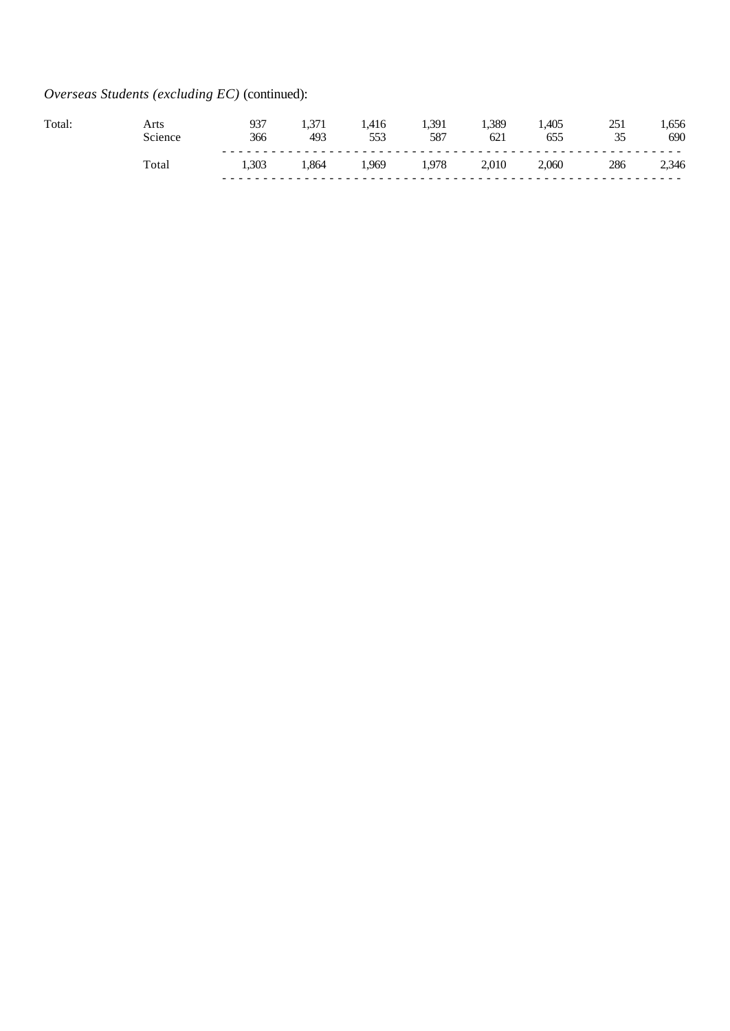# *Overseas Students (excluding EC)* (continued):

| <b>Total</b> | Science | กวร<br>ر ر<br>366 | .<br>493 | 1.410<br>553<br>້ | .391<br>587 | .389<br>621 | 405<br>س س | 35<br>ັບ | .656<br>690    |
|--------------|---------|-------------------|----------|-------------------|-------------|-------------|------------|----------|----------------|
|              | total   | 1.303             |          | 969               | 1.978       | 2,010       | 2,060      | 286      | 2,346<br>- - - |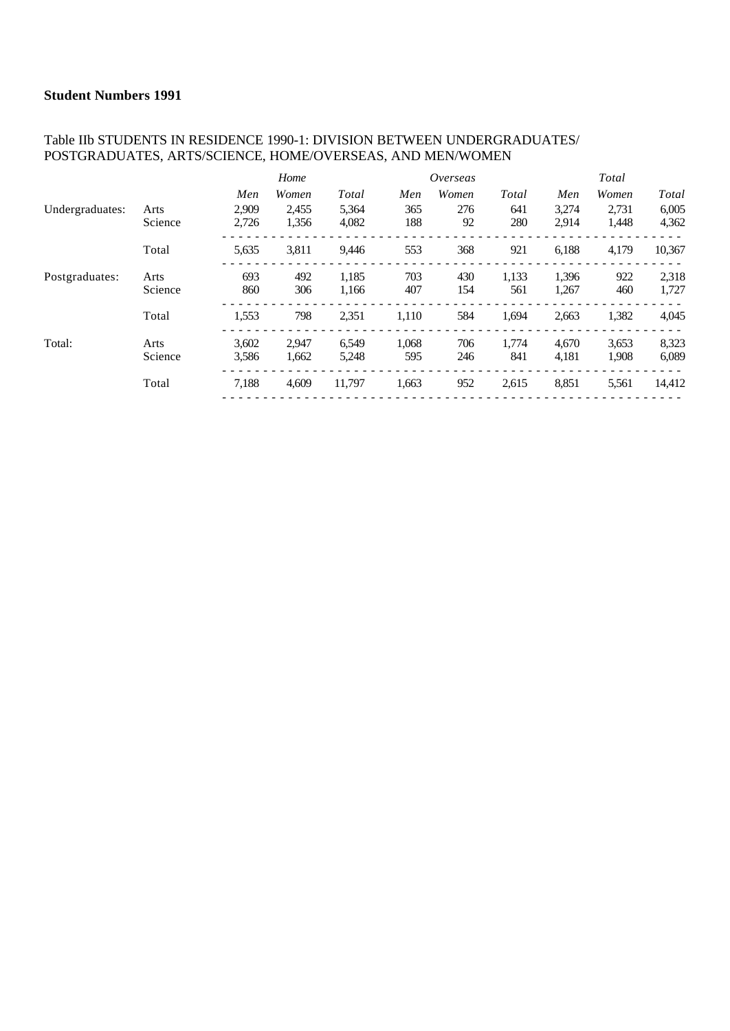### Table IIb STUDENTS IN RESIDENCE 1990-1: DIVISION BETWEEN UNDERGRADUATES/ POSTGRADUATES, ARTS/SCIENCE, HOME/OVERSEAS, AND MEN/WOMEN

|                 |         |       | Home  |        |       | Overseas |       |       | Total |              |
|-----------------|---------|-------|-------|--------|-------|----------|-------|-------|-------|--------------|
|                 |         | Men   | Women | Total  | Men   | Women    | Total | Men   | Women | <b>Total</b> |
| Undergraduates: | Arts    | 2.909 | 2.455 | 5,364  | 365   | 276      | 641   | 3,274 | 2,731 | 6,005        |
|                 | Science | 2,726 | 1,356 | 4,082  | 188   | 92       | 280   | 2,914 | 1,448 | 4,362        |
|                 | Total   | 5,635 | 3,811 | 9,446  | 553   | 368      | 921   | 6,188 | 4,179 | 10,367       |
| Postgraduates:  | Arts    | 693   | 492   | 1,185  | 703   | 430      | 1,133 | 1,396 | 922   | 2,318        |
|                 | Science | 860   | 306   | 1,166  | 407   | 154      | 561   | 1,267 | 460   | 1,727        |
|                 | Total   | 1,553 | 798   | 2,351  | 1,110 | 584      | 1,694 | 2,663 | 1,382 | 4,045        |
| Total:          | Arts    | 3,602 | 2.947 | 6.549  | 1,068 | 706      | 1.774 | 4.670 | 3,653 | 8,323        |
|                 | Science | 3,586 | 1,662 | 5,248  | 595   | 246      | 841   | 4,181 | 1,908 | 6,089        |
|                 | Total   | 7,188 | 4,609 | 11,797 | 1,663 | 952      | 2,615 | 8,851 | 5,561 | 14,412       |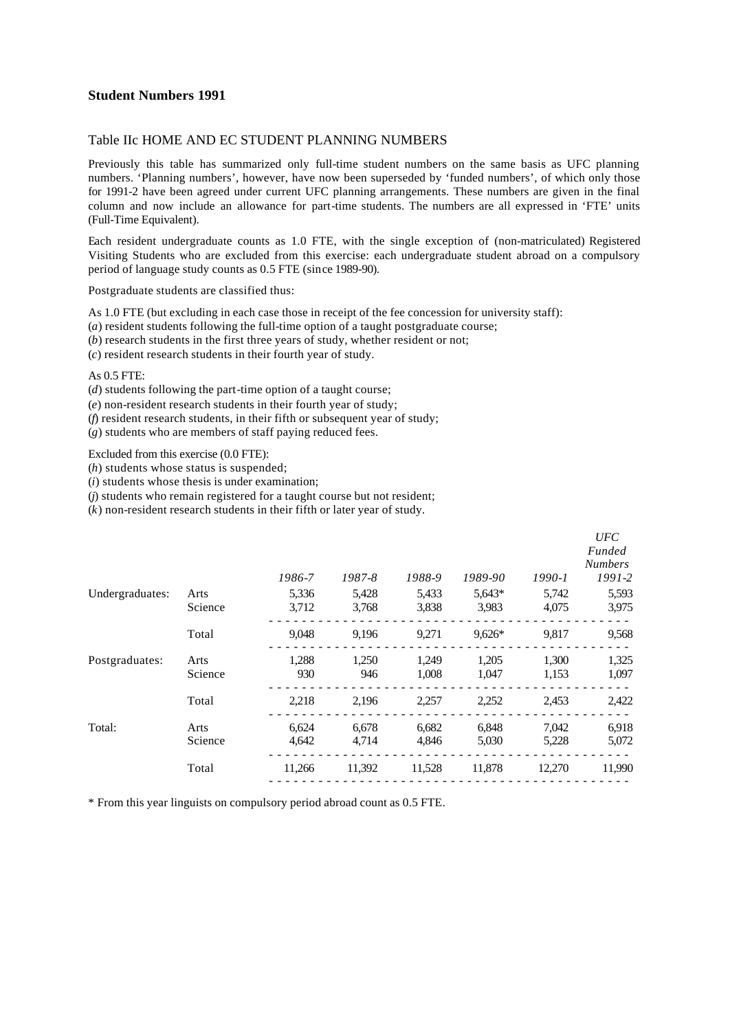#### Table IIc HOME AND EC STUDENT PLANNING NUMBERS

Previously this table has summarized only full-time student numbers on the same basis as UFC planning numbers. 'Planning numbers', however, have now been superseded by 'funded numbers', of which only those for 1991-2 have been agreed under current UFC planning arrangements. These numbers are given in the final column and now include an allowance for part-time students. The numbers are all expressed in 'FTE' units (Full-Time Equivalent).

Each resident undergraduate counts as 1.0 FTE, with the single exception of (non-matriculated) Registered Visiting Students who are excluded from this exercise: each undergraduate student abroad on a compulsory period of language study counts as 0.5 FTE (since 1989-90).

Postgraduate students are classified thus:

As 1.0 FTE (but excluding in each case those in receipt of the fee concession for university staff):

(*a*) resident students following the full-time option of a taught postgraduate course;

(*b*) research students in the first three years of study, whether resident or not;

(*c*) resident research students in their fourth year of study.

#### As 0.5 FTE:

(*d*) students following the part-time option of a taught course;

(*e*) non-resident research students in their fourth year of study;

(*f*) resident research students, in their fifth or subsequent year of study;

(*g*) students who are members of staff paying reduced fees.

Excluded from this exercise (0.0 FTE):

(*h*) students whose status is suspended;

(*i*) students whose thesis is under examination;

(*j*) students who remain registered for a taught course but not resident;

(*k*) non-resident research students in their fifth or later year of study.

|                 |                |                |                |                | $1990 - 1$     | UFC<br>Funded<br><b>Numbers</b><br>$1991 - 2$ |
|-----------------|----------------|----------------|----------------|----------------|----------------|-----------------------------------------------|
| Arts            | 5,336          | 5,428          | 5,433          | 5,643*         | 5,742          | 5,593                                         |
| Science         | 3,712          | 3,768          | 3,838          | 3,983          | 4,075          | 3,975                                         |
| Total           | 9,048          | 9,196          | 9,271          | $9,626*$       | 9,817          | 9,568                                         |
| Arts<br>Science | 1,288<br>930   | 1,250<br>946   | 1,249<br>1,008 | 1,205<br>1,047 | 1,300<br>1,153 | 1,325<br>1,097                                |
| Total           | 2,218          | 2,196          | 2,257          | 2,252          | 2,453          | 2,422                                         |
| Arts<br>Science | 6,624<br>4,642 | 6,678<br>4.714 | 6,682<br>4,846 | 6,848<br>5,030 | 7,042<br>5,228 | 6,918<br>5,072                                |
| Total           | 11,266         | 11,392         | 11,528         | 11,878         | 12,270         | 11,990                                        |
|                 |                | 1986-7         | 1987-8         | 1988-9         | 1989-90        |                                               |

\* From this year linguists on compulsory period abroad count as 0.5 FTE.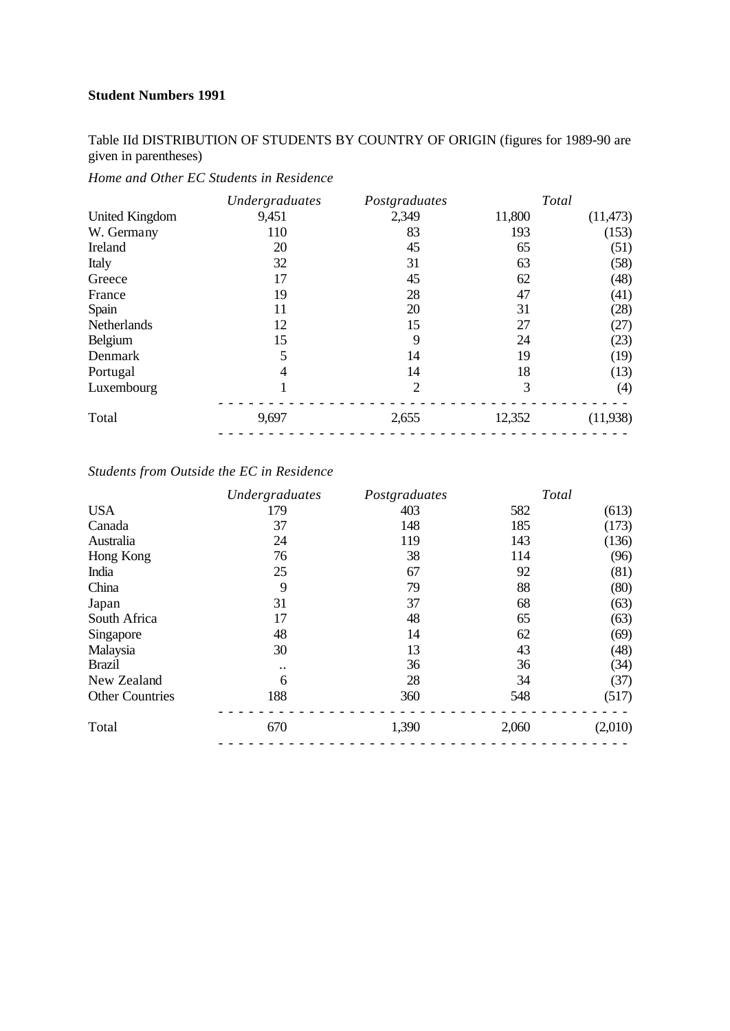Table IId DISTRIBUTION OF STUDENTS BY COUNTRY OF ORIGIN (figures for 1989-90 are given in parentheses)

*Home and Other EC Students in Residence*

|                | Undergraduates | Postgraduates  | Total  |           |
|----------------|----------------|----------------|--------|-----------|
| United Kingdom | 9,451          | 2,349          | 11,800 | (11, 473) |
| W. Germany     | 110            | 83             | 193    | (153)     |
| Ireland        | 20             | 45             | 65     | (51)      |
| Italy          | 32             | 31             | 63     | (58)      |
| Greece         | 17             | 45             | 62     | (48)      |
| France         | 19             | 28             | 47     | (41)      |
| Spain          | 11             | 20             | 31     | (28)      |
| Netherlands    | 12             | 15             | 27     | (27)      |
| Belgium        | 15             | 9              | 24     | (23)      |
| Denmark        | 5              | 14             | 19     | (19)      |
| Portugal       | 4              | 14             | 18     | (13)      |
| Luxembourg     |                | $\overline{2}$ | 3      | (4)       |
| Total          | 9,697          | 2,655          | 12,352 | (11,938)  |
|                |                |                |        |           |

## *Students from Outside the EC in Residence*

|                        | Undergraduates       | Postgraduates | Total |         |
|------------------------|----------------------|---------------|-------|---------|
| <b>USA</b>             | 179                  | 403           | 582   | (613)   |
| Canada                 | 37                   | 148           | 185   | (173)   |
| Australia              | 24                   | 119           | 143   | (136)   |
| Hong Kong              | 76                   | 38            | 114   | (96)    |
| India                  | 25                   | 67            | 92    | (81)    |
| China                  | 9                    | 79            | 88    | (80)    |
| Japan                  | 31                   | 37            | 68    | (63)    |
| South Africa           | 17                   | 48            | 65    | (63)    |
| Singapore              | 48                   | 14            | 62    | (69)    |
| Malaysia               | 30                   | 13            | 43    | (48)    |
| <b>Brazil</b>          | $\ddot{\phantom{0}}$ | 36            | 36    | (34)    |
| New Zealand            | 6                    | 28            | 34    | (37)    |
| <b>Other Countries</b> | 188                  | 360           | 548   | (517)   |
| Total                  | 670                  | 1,390         | 2,060 | (2,010) |
|                        |                      |               |       |         |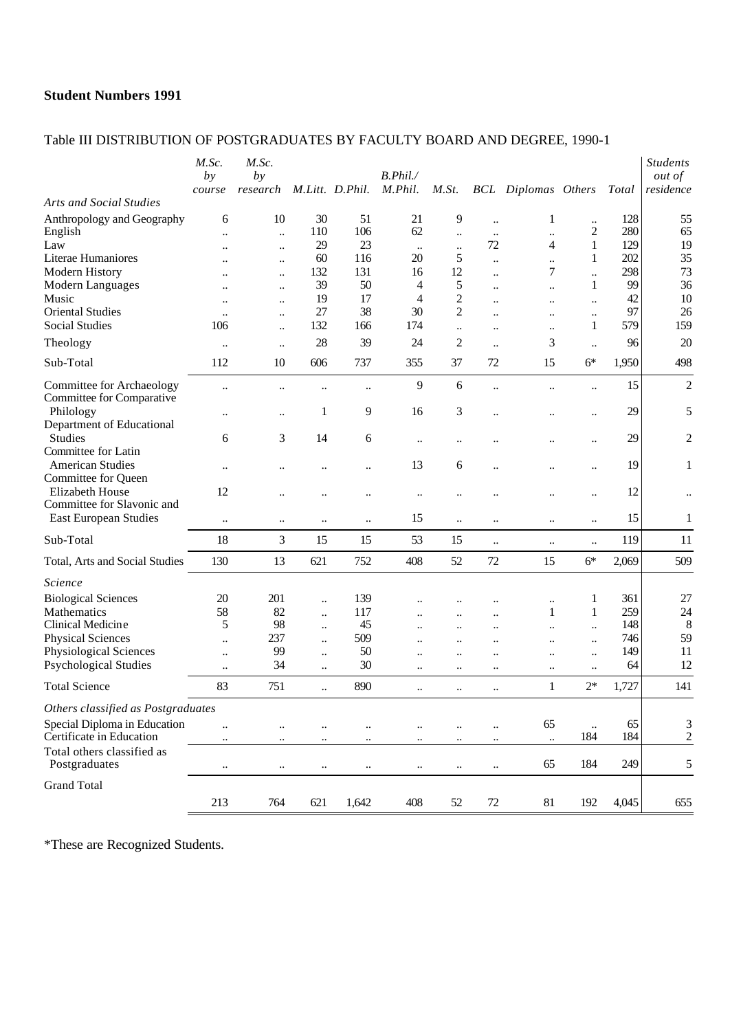## Table III DISTRIBUTION OF POSTGRADUATES BY FACULTY BOARD AND DEGREE, 1990-1

|                                                        | M.Sc.<br>by<br>course  | M.Sc.<br>by<br>research                      |                        | M.Litt. D.Phil.      | B. Phil.<br>M.Phil.               | M.St.                     |                                              | <b>BCL</b> Diplomas Others |                                        | Total      | <b>Students</b><br><i>out of</i><br>residence |
|--------------------------------------------------------|------------------------|----------------------------------------------|------------------------|----------------------|-----------------------------------|---------------------------|----------------------------------------------|----------------------------|----------------------------------------|------------|-----------------------------------------------|
| <b>Arts and Social Studies</b>                         |                        |                                              |                        |                      |                                   |                           |                                              |                            |                                        |            |                                               |
| Anthropology and Geography<br>English                  | 6<br>$\ddotsc$         | 10<br>$\ddot{\phantom{a}}$                   | 30<br>110              | 51<br>106            | 21<br>62                          | 9<br>$\ddot{\phantom{a}}$ | $\ddot{\phantom{a}}$<br>$\ddotsc$            | $\mathbf{1}$<br>$\ddotsc$  | $\ddot{\phantom{a}}$<br>$\overline{c}$ | 128<br>280 | 55<br>65                                      |
| Law                                                    | $\ddot{\phantom{a}}$   | $\ddot{\phantom{a}}$                         | 29<br>60               | 23                   | $\ddots$                          | $\ddotsc$<br>5            | 72                                           | 4                          | $\mathbf{1}$                           | 129<br>202 | 19<br>35                                      |
| Literae Humaniores<br>Modern History                   | $\ddot{\phantom{0}}$   | $\ddotsc$                                    | 132                    | 116<br>131           | 20<br>16                          | 12                        | $\ddotsc$                                    | $\ddot{\phantom{a}}$<br>7  | 1                                      | 298        | 73                                            |
| Modern Languages                                       |                        | $\ddot{\phantom{a}}$<br>$\ddot{\phantom{a}}$ | 39                     | 50                   | 4                                 | 5                         | $\ddot{\phantom{a}}$<br>$\ddot{\phantom{a}}$ | $\ldots$                   | 1                                      | 99         | 36                                            |
| Music                                                  | $\ddot{\phantom{a}}$   | $\ddotsc$                                    | 19                     | 17                   | $\overline{4}$                    | $\overline{c}$            | $\ddot{\phantom{a}}$                         | $\ddotsc$                  | $\ddotsc$                              | 42         | 10                                            |
| <b>Oriental Studies</b>                                | $\ddot{\phantom{a}}$   | $\ddotsc$                                    | 27                     | 38                   | 30                                | $\overline{c}$            | $\ddot{\phantom{a}}$                         | $\ddotsc$                  | $\ddotsc$                              | 97         | 26                                            |
| <b>Social Studies</b>                                  | 106                    | $\ddot{\phantom{a}}$                         | 132                    | 166                  | 174                               | $\ddotsc$                 | $\ddot{\phantom{a}}$                         | $\ddotsc$                  | 1                                      | 579        | 159                                           |
| Theology                                               | $\ddot{\phantom{a}}$   | $\ddotsc$                                    | 28                     | 39                   | 24                                | $\overline{2}$            | $\ddotsc$                                    | 3                          | $\ddotsc$                              | 96         | 20                                            |
| Sub-Total                                              | 112                    | 10                                           | 606                    | 737                  | 355                               | 37                        | 72                                           | 15                         | $6*$                                   | 1,950      | 498                                           |
| Committee for Archaeology<br>Committee for Comparative | $\ldots$               | $\ddot{\phantom{a}}$                         | $\ddotsc$              |                      | 9                                 | $6\,$                     | $\ddot{\phantom{a}}$                         | $\ddot{\phantom{a}}$       | $\ddotsc$                              | 15         | $\overline{c}$                                |
| Philology<br>Department of Educational                 |                        | $\ddotsc$                                    | 1                      | 9                    | 16                                | 3                         | $\ddot{\phantom{a}}$                         |                            | $\ddot{\phantom{a}}$                   | 29         | 5                                             |
| <b>Studies</b><br>Committee for Latin                  | 6                      | 3                                            | 14                     | 6                    | $\ddotsc$                         |                           |                                              |                            | $\ddotsc$                              | 29         | 2                                             |
| <b>American Studies</b><br>Committee for Queen         | $\ddotsc$              | $\ddot{\phantom{0}}$                         |                        | $\ddot{\phantom{a}}$ | 13                                | 6                         |                                              |                            | $\ddot{\phantom{a}}$                   | 19         | 1                                             |
| Elizabeth House<br>Committee for Slavonic and          | 12                     |                                              | $\ddotsc$              |                      | $\ddotsc$                         | $\ddotsc$                 |                                              |                            | $\ddotsc$                              | 12         |                                               |
| <b>East European Studies</b>                           | $\ddotsc$              | $\ddotsc$                                    | $\ddotsc$              | $\ldots$             | 15                                | $\ddotsc$                 | $\ddotsc$                                    | $\ddotsc$                  | $\ddotsc$                              | 15         | $\mathbf{1}$                                  |
| Sub-Total                                              | 18                     | 3                                            | 15                     | 15                   | 53                                | 15                        | $\ldots$                                     | $\ddotsc$                  | $\ldots$                               | 119        | 11                                            |
| Total, Arts and Social Studies                         | 130                    | 13                                           | 621                    | 752                  | 408                               | 52                        | 72                                           | 15                         | $6*$                                   | 2,069      | 509                                           |
| <i><u>Science</u></i>                                  |                        |                                              |                        |                      |                                   |                           |                                              |                            |                                        |            |                                               |
| <b>Biological Sciences</b>                             | 20                     | 201                                          | $\ddotsc$              | 139                  |                                   |                           |                                              | $\ddotsc$                  | 1                                      | 361        | 27                                            |
| Mathematics                                            | 58                     | 82                                           | $\ddot{\phantom{a}}$   | 117                  |                                   |                           | $\ddot{\phantom{0}}$                         | $\mathbf{1}$               | $\mathbf{1}$                           | 259        | 24                                            |
| Clinical Medicine                                      | 5                      | 98                                           | $\ddotsc$              | 45                   | $\ddot{\phantom{a}}$              | $\ddotsc$                 | $\ddot{\phantom{a}}$                         | $\ddot{\phantom{a}}$       | $\ddot{\phantom{a}}$                   | 148        | $8\,$                                         |
| <b>Physical Sciences</b><br>Physiological Sciences     | $\ddot{\phantom{a}}$   | 237<br>99                                    | $\ddotsc$              | 509<br>50            | $\ddot{\phantom{a}}$              | $\ddotsc$                 | $\ddotsc$                                    | $\ddot{\phantom{a}}$       | $\ldots$                               | 746<br>149 | 59<br>11                                      |
| <b>Psychological Studies</b>                           | $\ddotsc$<br>$\ddotsc$ | 34                                           | $\ddotsc$<br>$\ddotsc$ | 30                   | $\ddotsc$<br>$\ddotsc$            | $\ddotsc$<br>$\ddotsc$    | $\ddotsc$<br>$\ddotsc$                       | $\ddotsc$<br>$\ddotsc$     | $\ddotsc$<br>$\ddotsc$                 | 64         | 12                                            |
| <b>Total Science</b>                                   | 83                     | 751                                          | $\ddot{\phantom{a}}$   | 890                  | $\ddotsc$                         | $\ldots$                  | $\ldots$                                     | $\mathbf{1}$               | $2*$                                   | 1,727      | 141                                           |
| Others classified as Postgraduates                     |                        |                                              |                        |                      |                                   |                           |                                              |                            |                                        |            |                                               |
| Special Diploma in Education                           |                        |                                              |                        |                      |                                   |                           |                                              | 65                         |                                        | 65         | $\sqrt{3}$                                    |
| Certificate in Education                               |                        | $\ddotsc$<br>$\ddotsc$                       | $\ddotsc$<br>$\ddotsc$ | <br>                 | $\ddotsc$<br>$\ddot{\phantom{a}}$ | $\ddotsc$<br>             | $\ddot{\phantom{0}}$<br>$\ddotsc$            | $\ddotsc$                  | $\ddotsc$<br>184                       | 184        | $\overline{c}$                                |
| Total others classified as<br>Postgraduates            | $\ddotsc$              | $\ldots$                                     | $\ldots$               | $\ldots$             | $\ldots$                          | $\ldots$                  | $\ddotsc$                                    | 65                         | 184                                    | 249        | 5                                             |
| <b>Grand Total</b>                                     |                        |                                              |                        |                      |                                   |                           |                                              |                            |                                        |            |                                               |
|                                                        | 213                    | 764                                          | 621                    | 1,642                | 408                               | 52                        | $72\,$                                       | $81\,$                     | 192                                    | 4,045      | 655                                           |

\*These are Recognized Students.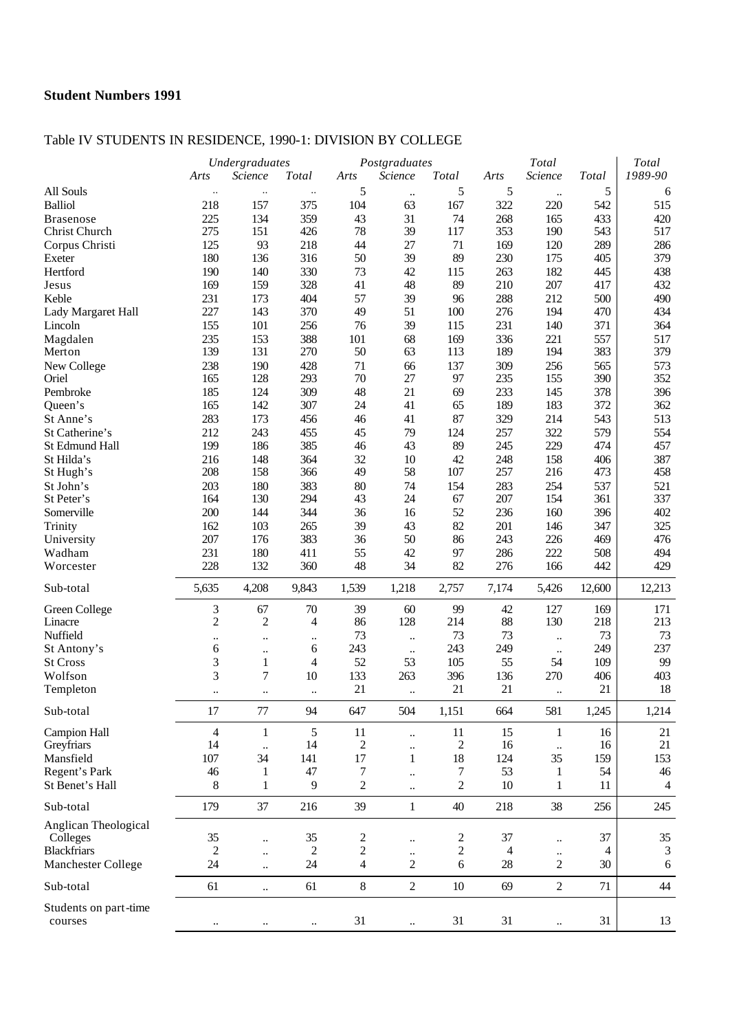## Table IV STUDENTS IN RESIDENCE, 1990-1: DIVISION BY COLLEGE

|                       |                | Undergraduates            |                      |                | Postgraduates             |                | Total     |                             |           | Total          |  |  |
|-----------------------|----------------|---------------------------|----------------------|----------------|---------------------------|----------------|-----------|-----------------------------|-----------|----------------|--|--|
|                       | Arts           | Science                   | <b>Total</b>         | Arts           | Science                   | Total          | Arts      | Science                     | Total     | 1989-90        |  |  |
| All Souls             | $\ldots$       | $\ldots$                  | $\ldots$             | 5              | $\ddotsc$                 | 5              | 5         | $\ddotsc$                   | 5         | 6              |  |  |
| <b>Balliol</b>        | 218            | 157                       | 375                  | 104            | 63                        | 167            | 322       | 220                         | 542       | 515            |  |  |
| <b>Brasenose</b>      | 225            | 134                       | 359                  | 43             | 31                        | 74             | 268       | 165                         | 433       | 420            |  |  |
| Christ Church         | 275            | 151                       | 426                  | 78             | 39                        | 117            | 353       | 190                         | 543       | 517            |  |  |
| Corpus Christi        | 125            | 93                        | 218                  | 44             | 27                        | 71             | 169       | 120                         | 289       | 286            |  |  |
| Exeter                | 180            | 136                       | 316                  | 50             | 39                        | 89             | 230       | 175                         | 405       | 379            |  |  |
| Hertford              | 190            | 140                       | 330                  | 73             | 42                        | 115            | 263       | 182                         | 445       | 438            |  |  |
| Jesus                 | 169            | 159                       | 328                  | 41             | 48                        | 89             | 210       | 207                         | 417       | 432            |  |  |
| Keble                 | 231            | 173                       | 404                  | 57             | 39                        | 96             | 288       | 212                         | 500       | 490            |  |  |
| Lady Margaret Hall    | 227            | 143                       | 370                  | 49             | 51                        | 100            | 276       | 194                         | 470       | 434            |  |  |
| Lincoln               | 155            | 101                       | 256                  | 76             | 39                        | 115            | 231       | 140                         | 371       | 364            |  |  |
| Magdalen              | 235            | 153                       | 388                  | 101            | 68                        | 169            | 336       | 221                         | 557       | 517            |  |  |
| Merton                | 139            | 131                       | 270                  | 50             | 63                        | 113            | 189       | 194                         | 383       | 379            |  |  |
|                       | 238            | 190                       | 428                  | 71             | 66                        | 137            | 309       | 256                         | 565       | 573            |  |  |
| New College<br>Oriel  | 165            | 128                       | 293                  | 70             | 27                        | 97             | 235       | 155                         | 390       | 352            |  |  |
| Pembroke              | 185            | 124                       | 309                  | 48             | 21                        | 69             | 233       | 145                         | 378       | 396            |  |  |
|                       | 165            | 142                       | 307                  | $24\,$         | 41                        | 65             | 189       | 183                         | 372       | 362            |  |  |
| Queen's               |                |                           |                      |                |                           |                |           |                             |           |                |  |  |
| St Anne's             | 283            | 173                       | 456                  | 46             | 41                        | 87             | 329       | 214                         | 543       | 513            |  |  |
| St Catherine's        | 212            | 243                       | 455                  | 45             | 79                        | 124            | 257       | 322                         | 579       | 554            |  |  |
| St Edmund Hall        | 199            | 186                       | 385                  | 46             | 43                        | 89             | 245       | 229                         | 474       | 457            |  |  |
| St Hilda's            | 216            | 148                       | 364                  | 32             | 10                        | 42             | 248       | 158                         | 406       | 387            |  |  |
| St Hugh's             | 208            | 158                       | 366                  | 49             | 58                        | 107            | 257       | 216                         | 473       | 458            |  |  |
| St John's             | 203            | 180                       | 383                  | 80             | 74                        | 154            | 283       | 254                         | 537       | 521            |  |  |
| St Peter's            | 164            | 130                       | 294                  | 43             | 24                        | 67             | 207       | 154                         | 361       | 337            |  |  |
| Somerville            | 200            | 144                       | 344                  | 36             | 16                        | 52             | 236       | 160                         | 396       | 402            |  |  |
| Trinity               | 162            | 103                       | 265                  | 39             | 43                        | 82             | 201       | 146                         | 347       | 325            |  |  |
| University            | 207            | 176                       | 383                  | 36             | 50                        | 86             | 243       | 226                         | 469       | 476            |  |  |
| Wadham                | 231            | 180                       | 411                  | 55             | 42                        | 97             | 286       | 222                         | 508       | 494            |  |  |
| Worcester             | 228            | 132                       | 360                  | 48             | 34                        | 82             | 276       | 166                         | 442       | 429            |  |  |
| Sub-total             | 5,635          | 4,208                     | 9,843                | 1,539          | 1,218                     | 2,757          | 7,174     | 5,426                       | 12,600    | 12,213         |  |  |
| Green College         | 3              | 67                        | 70                   | 39             | 60                        | 99             | 42        | 127                         | 169       | 171            |  |  |
| Linacre               | $\sqrt{2}$     | $\overline{c}$            | 4                    | 86             | 128                       | 214            | 88        | 130                         | 218       | 213            |  |  |
| Nuffield              |                |                           |                      | 73             |                           | 73             | 73        |                             | 73        | 73             |  |  |
| St Antony's           | <br>6          | $\ddotsc$                 | $\ddotsc$<br>6       | 243            | $\ldots$                  | 243            | 249       | $\ddotsc$                   | 249       | 237            |  |  |
| <b>St Cross</b>       | 3              | $\ddotsc$<br>$\mathbf{1}$ | 4                    | 52             | $\ddotsc$<br>53           | 105            | 55        | $\ldots$<br>54              | 109       | 99             |  |  |
| Wolfson               | 3              | $\overline{7}$            |                      | 133            |                           |                |           |                             |           |                |  |  |
|                       |                |                           | 10                   | 21             | 263                       | 396<br>21      | 136<br>21 | 270                         | 406<br>21 | 403<br>18      |  |  |
| Templeton             | $\ddotsc$      | $\ddotsc$                 | $\ddot{\phantom{a}}$ |                | $\ddot{\phantom{a}}$      |                |           | $\ddot{\phantom{a}}$        |           |                |  |  |
| Sub-total             | 17             | $77\,$                    | 94                   | 647            | 504                       | 1,151          | 664       | 581                         | 1,245     | 1,214          |  |  |
| <b>Campion Hall</b>   | $\overline{4}$ | $\mathbf{1}$              | 5                    | 11             | $\ddotsc$                 | 11             | 15        | 1                           | 16        | 21             |  |  |
| Greyfriars            | 14             | $\ddot{\phantom{a}}$      | 14                   | $\overline{c}$ | $\ddotsc$                 | 2              | 16        | $\ddotsc$                   | 16        | 21             |  |  |
| Mansfield             | 107            | 34                        | 141                  | 17             | $\mathbf{1}$              | 18             | 124       | 35                          | 159       | 153            |  |  |
| Regent's Park         | 46             | 1                         | 47                   | 7              | $\ddotsc$                 | 7              | 53        | 1                           | 54        | 46             |  |  |
| St Benet's Hall       | 8              | 1                         | 9                    | 2              | $\ddotsc$                 | $\overline{c}$ | $10\,$    | 1                           | 11        | $\overline{4}$ |  |  |
| Sub-total             | 179            | 37                        | 216                  | 39             | $\mathbf{1}$              | 40             | 218       | 38                          | 256       | 245            |  |  |
| Anglican Theological  |                |                           |                      |                |                           |                |           |                             |           |                |  |  |
| Colleges              | 35             |                           | 35                   | 2              |                           | 2              | 37        |                             | 37        | 35             |  |  |
| <b>Blackfriars</b>    | $\overline{c}$ | $\ddot{\phantom{a}}$      | 2                    | $\overline{c}$ | $\ddotsc$                 | $\overline{c}$ | 4         | $\ldots$                    | 4         | 3              |  |  |
| Manchester College    | 24             | $\ddot{\phantom{a}}$      | $24\,$               | 4              | $\ddot{\phantom{0}}$<br>2 | 6              | 28        | $\ddotsc$<br>$\overline{2}$ | 30        | 6              |  |  |
|                       |                | $\ddot{\phantom{a}}$      |                      |                |                           |                |           |                             |           |                |  |  |
| Sub-total             | 61             | $\ddot{\phantom{a}}$      | 61                   | $8\,$          | $\overline{2}$            | 10             | 69        | $\overline{2}$              | 71        | 44             |  |  |
| Students on part-time |                |                           |                      |                |                           |                |           |                             |           |                |  |  |
| courses               | $\ddotsc$      | $\ddotsc$                 |                      | 31             | $\ldots$                  | 31             | 31        | $\ddotsc$                   | 31        | 13             |  |  |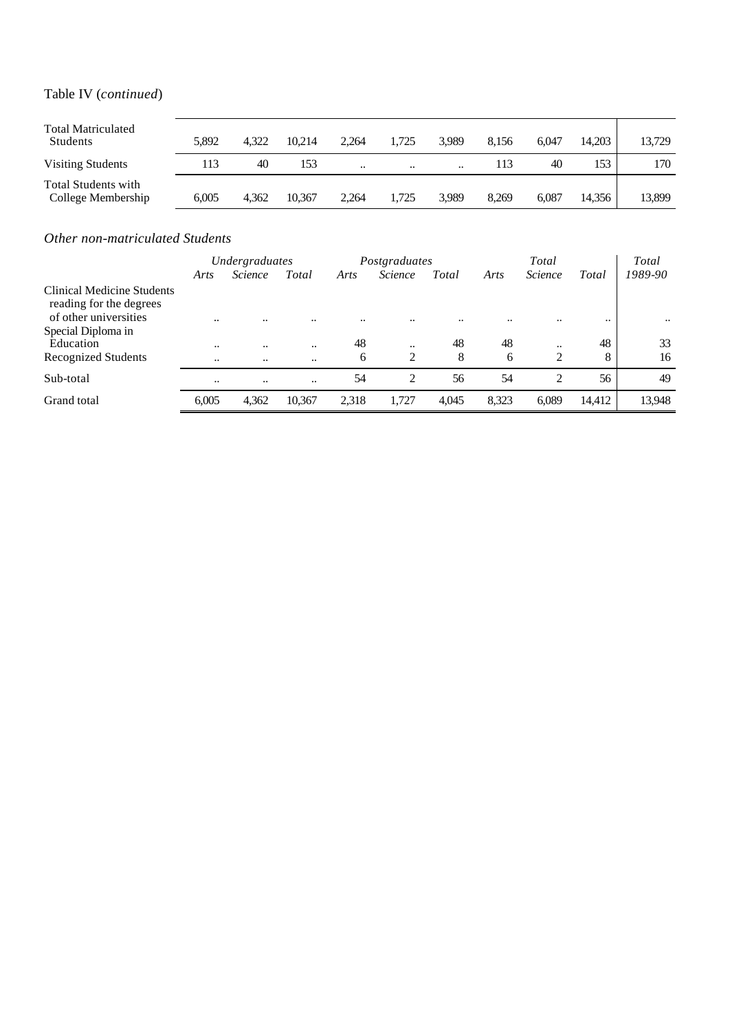# Table IV (*continued*)

| <b>Total Matriculated</b><br>Students            | 5.892 | 4.322 | 10.214 | 2.264   | 1.725                | 3.989                | 8.156 | 6.047 | 14.203 | 13,729 |
|--------------------------------------------------|-------|-------|--------|---------|----------------------|----------------------|-------|-------|--------|--------|
| Visiting Students                                | 113   | 40    | 153    | $\cdot$ | $\ddot{\phantom{0}}$ | $\ddot{\phantom{0}}$ | 113   | 40    | 153    | 170    |
| <b>Total Students with</b><br>College Membership | 6.005 | 4.362 | 10.367 | 2.264   | 1.725                | 3.989                | 8.269 | 6.087 | 14.356 | 13,899 |

### *Other non-matriculated Students*

|                                                       | Undergraduates       |                |           |       | Postgraduates  |       | Total |                             |        | Total     |  |
|-------------------------------------------------------|----------------------|----------------|-----------|-------|----------------|-------|-------|-----------------------------|--------|-----------|--|
|                                                       | Arts                 | <i>Science</i> | Total     | Arts  | <i>Science</i> | Total | Arts  | <i>Science</i>              | Total  | 1989-90   |  |
| Clinical Medicine Students<br>reading for the degrees |                      |                |           |       |                |       |       |                             |        |           |  |
| of other universities<br>Special Diploma in           | $\ddotsc$            |                |           |       |                |       |       |                             |        | $\ddotsc$ |  |
| Education                                             | $\ddot{\phantom{0}}$ |                |           | 48    | $\ddotsc$      | 48    | 48    | $\cdot\cdot$                | 48     | 33        |  |
| Recognized Students                                   | $\ddotsc$            | $\ddotsc$      | $\ddotsc$ | 6     | $\overline{c}$ | 8     | 6     | $\overline{c}$              | 8      | 16        |  |
| Sub-total                                             | $\ddotsc$            | $\ddotsc$      |           | 54    | $\overline{c}$ | 56    | 54    | $\mathcal{D}_{\mathcal{L}}$ | 56     | 49        |  |
| Grand total                                           | 6,005                | 4,362          | 10,367    | 2,318 | 1.727          | 4,045 | 8,323 | 6,089                       | 14,412 | 13,948    |  |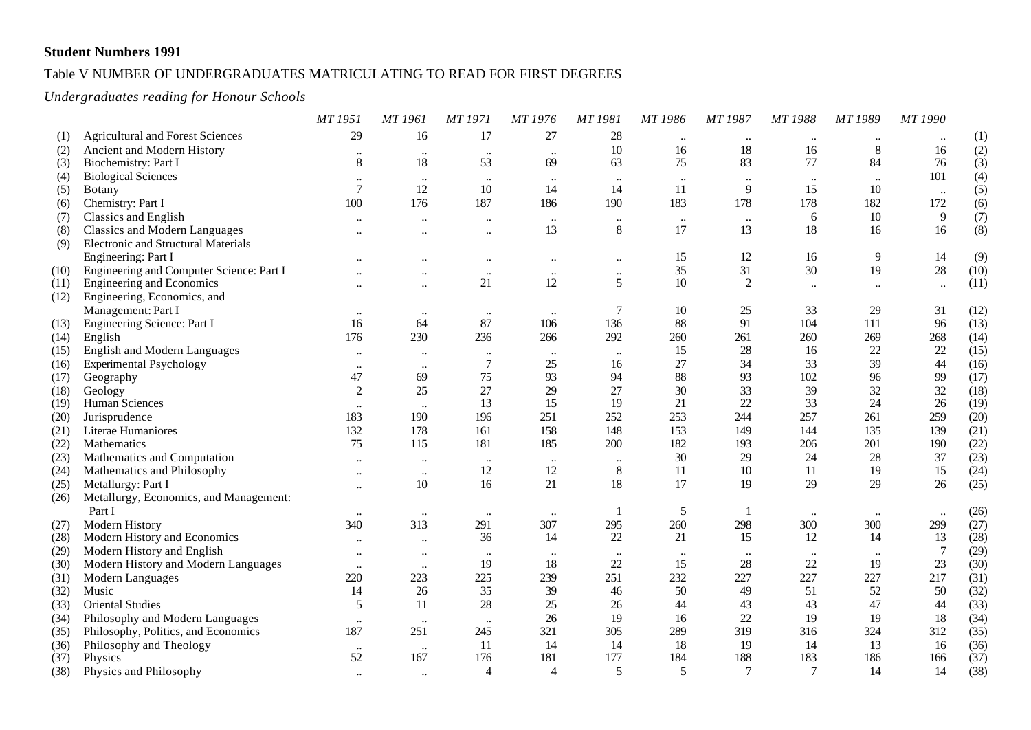### Table V NUMBER OF UNDERGRADUATES MATRICULATING TO READ FOR FIRST DEGREES

### *Undergraduates reading for Honour Schools*

|      |                                            | MT 1951                   | <b>MT</b> 1961       | <b>MT 1971</b> | MT 1976                   | MT 1981   | MT 1986   | MT 1987         | MT 1988        | MT 1989        | MT 1990          |      |
|------|--------------------------------------------|---------------------------|----------------------|----------------|---------------------------|-----------|-----------|-----------------|----------------|----------------|------------------|------|
| (1)  | <b>Agricultural and Forest Sciences</b>    | 29                        | 16                   | 17             | 27                        | 28        | $\cdots$  | $\ddotsc$       | $\ddotsc$      | $\ddotsc$      | $\ddotsc$        | (1)  |
| (2)  | Ancient and Modern History                 | $\ddot{\phantom{0}}$      | $\ddotsc$            | $\ddotsc$      | $\ddotsc$                 | 10        | 16        | 18              | 16             | $8\phantom{1}$ | 16               | (2)  |
| (3)  | Biochemistry: Part I                       | $\,8\,$                   | 18                   | 53             | 69                        | 63        | 75        | 83              | 77             | 84             | 76               | (3)  |
| (4)  | <b>Biological Sciences</b>                 | $\ddot{\phantom{0}}$      | $\ddotsc$            | $\ldots$       | $\ddotsc$                 | $\ddotsc$ | $\cdots$  | $\ddotsc$       | $\ldots$       | $\ddotsc$      | 101              | (4)  |
| (5)  | Botany                                     | $\overline{7}$            | 12                   | 10             | 14                        | 14        | 11        | 9               | 15             | $10\,$         | $\ldots$         | (5)  |
| (6)  | Chemistry: Part I                          | 100                       | 176                  | 187            | 186                       | 190       | 183       | 178             | 178            | 182            | 172              | (6)  |
| (7)  | Classics and English                       |                           | $\ddot{\phantom{a}}$ | $\ddotsc$      | $\ddotsc$                 | $\ddotsc$ | $\ldots$  | $\ddotsc$       | 6              | 10             | $\overline{9}$   | (7)  |
| (8)  | Classics and Modern Languages              |                           | $\ddotsc$            | $\ddotsc$      | 13                        | $8\,$     | 17        | 13              | 18             | 16             | 16               | (8)  |
| (9)  | <b>Electronic and Structural Materials</b> |                           |                      |                |                           |           |           |                 |                |                |                  |      |
|      | Engineering: Part I                        |                           |                      | $\ddotsc$      | $\ddotsc$                 | $\ddotsc$ | 15        | 12              | 16             | 9              | 14               | (9)  |
| (10) | Engineering and Computer Science: Part I   |                           |                      | $\ddotsc$      | $\ddotsc$                 | $\ddotsc$ | 35        | 31              | 30             | 19             | $28\,$           | (10) |
| (11) | <b>Engineering and Economics</b>           | $\ddotsc$                 | $\ddotsc$            | 21             | 12                        | 5         | 10        | $\overline{2}$  | $\ddotsc$      | $\ldots$       | $\ddotsc$        | (11) |
| (12) | Engineering, Economics, and                |                           |                      |                |                           |           |           |                 |                |                |                  |      |
|      | Management: Part I                         | $\ddotsc$                 | $\ddotsc$            | $\ddotsc$      | $\ldots$                  | 7         | 10        | 25              | 33             | 29             | 31               | (12) |
| (13) | Engineering Science: Part I                | 16                        | 64                   | 87             | 106                       | 136       | 88        | 91              | 104            | 111            | 96               | (13) |
| (14) | English                                    | 176                       | 230                  | 236            | 266                       | 292       | 260       | 261             | 260            | 269            | 268              | (14) |
| (15) | English and Modern Languages               | $\ddot{\phantom{0}}$      | $\ddotsc$            | $\ddotsc$      | $\ddotsc$                 | $\ddotsc$ | 15        | 28              | 16             | $22\,$         | 22               | (15) |
| (16) | <b>Experimental Psychology</b>             | $\ddot{\phantom{0}}\cdot$ | $\ddotsc$            | $\tau$         | 25                        | 16        | 27        | 34              | 33             | 39             | 44               | (16) |
| (17) | Geography                                  | 47                        | 69                   | 75             | 93                        | 94        | 88        | 93              | 102            | 96             | 99               | (17) |
| (18) | Geology                                    | $\overline{2}$            | 25                   | 27             | 29                        | 27        | 30        | 33              | 39             | 32             | 32               | (18) |
| (19) | Human Sciences                             | $\ddotsc$                 |                      | 13             | 15                        | 19        | 21        | 22              | 33             | 24             | 26               | (19) |
| (20) | Jurisprudence                              | 183                       | 190                  | 196            | 251                       | 252       | 253       | 244             | 257            | 261            | 259              | (20) |
| (21) | Literae Humaniores                         | 132                       | 178                  | 161            | 158                       | 148       | 153       | 149             | 144            | 135            | 139              | (21) |
| (22) | Mathematics                                | 75                        | 115                  | 181            | 185                       | 200       | 182       | 193             | 206            | 201            | 190              | (22) |
| (23) | Mathematics and Computation                | $\ddotsc$                 | $\ddot{\phantom{0}}$ | $\ddotsc$      | $\cdots$                  | $\ddotsc$ | $30\,$    | 29              | 24             | 28             | 37               | (23) |
| (24) | Mathematics and Philosophy                 | $\ddot{\phantom{a}}$      | $\ddot{\phantom{a}}$ | 12             | 12                        | $8\,$     | 11        | 10              | 11             | 19             | 15               | (24) |
| (25) | Metallurgy: Part I                         |                           | 10                   | 16             | 21                        | 18        | 17        | 19              | 29             | 29             | 26               | (25) |
| (26) | Metallurgy, Economics, and Management:     |                           |                      |                |                           |           |           |                 |                |                |                  |      |
|      | Part I                                     | $\ddotsc$                 | $\ddotsc$            | $\ldots$       | $\ldots$                  |           | 5         | -1              | $\ldots$       | $\ddotsc$      | $\ddotsc$        | (26) |
| (27) | Modern History                             | 340                       | 313                  | 291            | 307                       | 295       | 260       | 298             | 300            | 300            | 299              | (27) |
| (28) | Modern History and Economics               | $\ddot{\phantom{0}}$      | $\ddot{\phantom{0}}$ | 36             | 14                        | 22        | 21        | 15              | 12             | 14             | 13               | (28) |
| (29) | Modern History and English                 | $\ddot{\phantom{0}}$      | $\ddot{\phantom{0}}$ | $\ddotsc$      | $\ddot{\phantom{0}}\cdot$ | $\ddotsc$ | $\ddotsc$ | $\ddotsc$       | $\ldots$       | $\ddotsc$      | $\boldsymbol{7}$ | (29) |
| (30) | Modern History and Modern Languages        | $\ddotsc$                 | $\ddotsc$            | 19             | 18                        | 22        | 15        | 28              | 22             | 19             | 23               | (30) |
| (31) | Modern Languages                           | 220                       | 223                  | 225            | 239                       | 251       | 232       | 227             | 227            | 227            | 217              | (31) |
| (32) | Music                                      | 14                        | 26                   | 35             | 39                        | 46        | 50        | 49              | 51             | 52             | 50               | (32) |
| (33) | <b>Oriental Studies</b>                    | 5                         | 11                   | 28             | 25                        | 26        | 44        | 43              | 43             | 47             | 44               | (33) |
| (34) | Philosophy and Modern Languages            | $\ddot{\phantom{0}}$      | $\cdot \cdot$        | $\ldots$       | 26                        | 19        | 16        | 22              | 19             | 19             | 18               | (34) |
| (35) | Philosophy, Politics, and Economics        | 187                       | 251                  | 245            | 321                       | 305       | 289       | 319             | 316            | 324            | 312              | (35) |
| (36) | Philosophy and Theology                    | $\cdot\cdot$              | $\ddotsc$            | 11             | 14                        | 14        | 18        | 19              | 14             | 13             | 16               | (36) |
| (37) | Physics                                    | 52                        | 167                  | 176            | 181                       | 177       | 184       | 188             | 183            | 186            | 166              | (37) |
| (38) | Physics and Philosophy                     |                           | $\ddot{\phantom{a}}$ | $\overline{4}$ | $\overline{4}$            | 5         | 5         | $7\phantom{.0}$ | $\overline{7}$ | 14             | 14               | (38) |